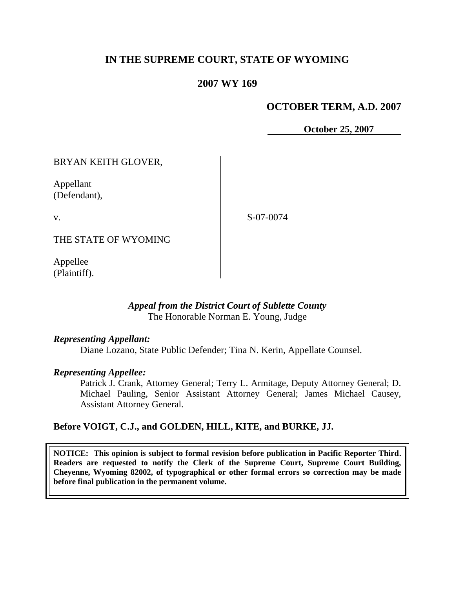# **IN THE SUPREME COURT, STATE OF WYOMING**

# **2007 WY 169**

# **OCTOBER TERM, A.D. 2007**

 **October 25, 2007**

BRYAN KEITH GLOVER,

Appellant (Defendant),

v.

S-07-0074

THE STATE OF WYOMING

Appellee (Plaintiff).

## *Appeal from the District Court of Sublette County* The Honorable Norman E. Young, Judge

#### *Representing Appellant:*

Diane Lozano, State Public Defender; Tina N. Kerin, Appellate Counsel.

#### *Representing Appellee:*

Patrick J. Crank, Attorney General; Terry L. Armitage, Deputy Attorney General; D. Michael Pauling, Senior Assistant Attorney General; James Michael Causey, Assistant Attorney General.

### **Before VOIGT, C.J., and GOLDEN, HILL, KITE, and BURKE, JJ.**

**NOTICE: This opinion is subject to formal revision before publication in Pacific Reporter Third. Readers are requested to notify the Clerk of the Supreme Court, Supreme Court Building, Cheyenne, Wyoming 82002, of typographical or other formal errors so correction may be made before final publication in the permanent volume.**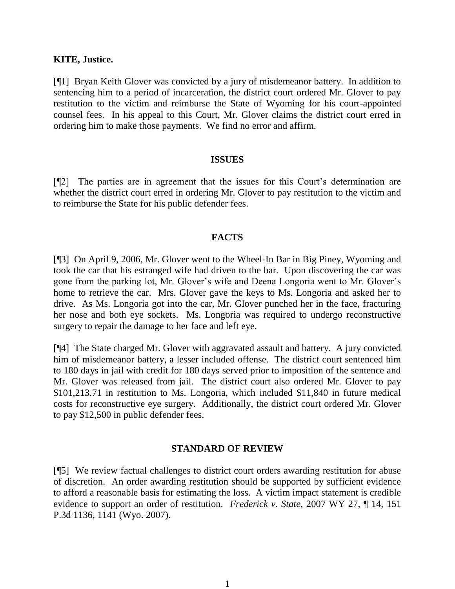### **KITE, Justice.**

[¶1] Bryan Keith Glover was convicted by a jury of misdemeanor battery. In addition to sentencing him to a period of incarceration, the district court ordered Mr. Glover to pay restitution to the victim and reimburse the State of Wyoming for his court-appointed counsel fees. In his appeal to this Court, Mr. Glover claims the district court erred in ordering him to make those payments. We find no error and affirm.

#### **ISSUES**

[¶2] The parties are in agreement that the issues for this Court's determination are whether the district court erred in ordering Mr. Glover to pay restitution to the victim and to reimburse the State for his public defender fees.

### **FACTS**

[¶3] On April 9, 2006, Mr. Glover went to the Wheel-In Bar in Big Piney, Wyoming and took the car that his estranged wife had driven to the bar. Upon discovering the car was gone from the parking lot, Mr. Glover's wife and Deena Longoria went to Mr. Glover's home to retrieve the car. Mrs. Glover gave the keys to Ms. Longoria and asked her to drive. As Ms. Longoria got into the car, Mr. Glover punched her in the face, fracturing her nose and both eye sockets. Ms. Longoria was required to undergo reconstructive surgery to repair the damage to her face and left eye.

[¶4] The State charged Mr. Glover with aggravated assault and battery. A jury convicted him of misdemeanor battery, a lesser included offense. The district court sentenced him to 180 days in jail with credit for 180 days served prior to imposition of the sentence and Mr. Glover was released from jail. The district court also ordered Mr. Glover to pay \$101,213.71 in restitution to Ms. Longoria, which included \$11,840 in future medical costs for reconstructive eye surgery. Additionally, the district court ordered Mr. Glover to pay \$12,500 in public defender fees.

## **STANDARD OF REVIEW**

[¶5] We review factual challenges to district court orders awarding restitution for abuse of discretion. An order awarding restitution should be supported by sufficient evidence to afford a reasonable basis for estimating the loss. A victim impact statement is credible evidence to support an order of restitution. *Frederick v. State*, 2007 WY 27, ¶ 14, 151 P.3d 1136, 1141 (Wyo. 2007).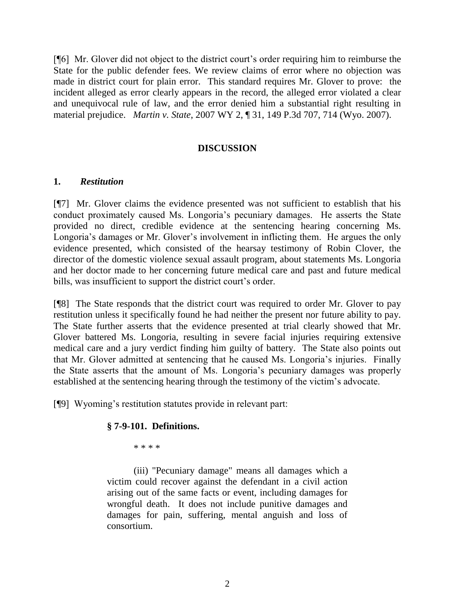[¶6] Mr. Glover did not object to the district court's order requiring him to reimburse the State for the public defender fees. We review claims of error where no objection was made in district court for plain error. This standard requires Mr. Glover to prove: the incident alleged as error clearly appears in the record, the alleged error violated a clear and unequivocal rule of law, and the error denied him a substantial right resulting in material prejudice. *Martin v. State*, 2007 WY 2, ¶ 31, 149 P.3d 707, 714 (Wyo. 2007).

# **DISCUSSION**

### **1.** *Restitution*

[¶7] Mr. Glover claims the evidence presented was not sufficient to establish that his conduct proximately caused Ms. Longoria's pecuniary damages. He asserts the State provided no direct, credible evidence at the sentencing hearing concerning Ms. Longoria's damages or Mr. Glover's involvement in inflicting them. He argues the only evidence presented, which consisted of the hearsay testimony of Robin Clover, the director of the domestic violence sexual assault program, about statements Ms. Longoria and her doctor made to her concerning future medical care and past and future medical bills, was insufficient to support the district court's order.

[¶8] The State responds that the district court was required to order Mr. Glover to pay restitution unless it specifically found he had neither the present nor future ability to pay. The State further asserts that the evidence presented at trial clearly showed that Mr. Glover battered Ms. Longoria, resulting in severe facial injuries requiring extensive medical care and a jury verdict finding him guilty of battery. The State also points out that Mr. Glover admitted at sentencing that he caused Ms. Longoria's injuries. Finally the State asserts that the amount of Ms. Longoria's pecuniary damages was properly established at the sentencing hearing through the testimony of the victim's advocate.

[¶9] Wyoming's restitution statutes provide in relevant part:

## **§ 7-9-101. Definitions.**

\* \* \* \*

(iii) "Pecuniary damage" means all damages which a victim could recover against the defendant in a civil action arising out of the same facts or event, including damages for wrongful death. It does not include punitive damages and damages for pain, suffering, mental anguish and loss of consortium.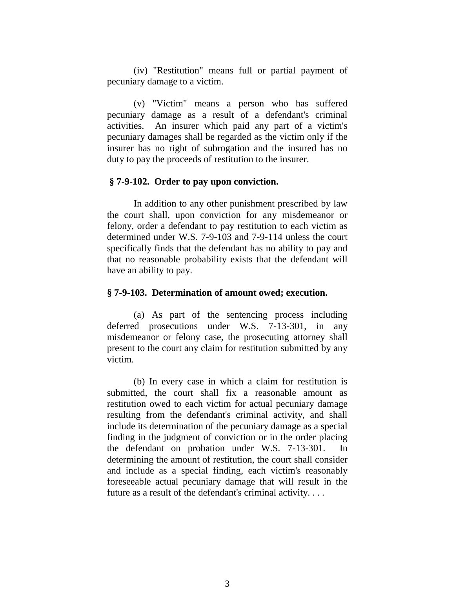(iv) "Restitution" means full or partial payment of pecuniary damage to a victim.

(v) "Victim" means a person who has suffered pecuniary damage as a result of a defendant's criminal activities. An insurer which paid any part of a victim's pecuniary damages shall be regarded as the victim only if the insurer has no right of subrogation and the insured has no duty to pay the proceeds of restitution to the insurer.

#### **§ 7-9-102. Order to pay upon conviction.**

In addition to any other punishment prescribed by law the court shall, upon conviction for any misdemeanor or felony, order a defendant to pay restitution to each victim as determined under W.S. 7-9-103 and 7-9-114 unless the court specifically finds that the defendant has no ability to pay and that no reasonable probability exists that the defendant will have an ability to pay.

#### **§ 7-9-103. Determination of amount owed; execution.**

(a) As part of the sentencing process including deferred prosecutions under W.S. 7-13-301, in any misdemeanor or felony case, the prosecuting attorney shall present to the court any claim for restitution submitted by any victim.

(b) In every case in which a claim for restitution is submitted, the court shall fix a reasonable amount as restitution owed to each victim for actual pecuniary damage resulting from the defendant's criminal activity, and shall include its determination of the pecuniary damage as a special finding in the judgment of conviction or in the order placing the defendant on probation under W.S. 7-13-301. In determining the amount of restitution, the court shall consider and include as a special finding, each victim's reasonably foreseeable actual pecuniary damage that will result in the future as a result of the defendant's criminal activity. . . .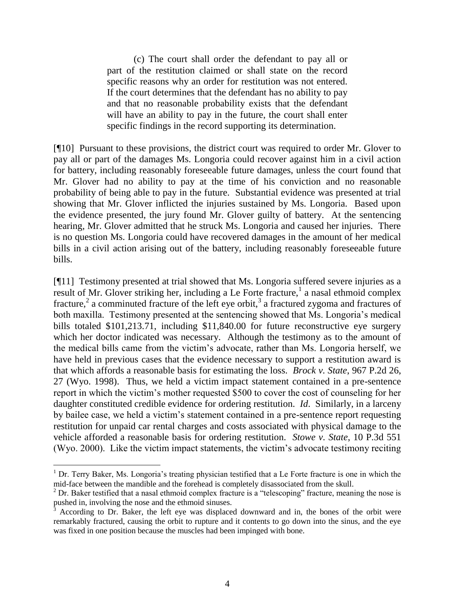(c) The court shall order the defendant to pay all or part of the restitution claimed or shall state on the record specific reasons why an order for restitution was not entered. If the court determines that the defendant has no ability to pay and that no reasonable probability exists that the defendant will have an ability to pay in the future, the court shall enter specific findings in the record supporting its determination.

[¶10] Pursuant to these provisions, the district court was required to order Mr. Glover to pay all or part of the damages Ms. Longoria could recover against him in a civil action for battery, including reasonably foreseeable future damages, unless the court found that Mr. Glover had no ability to pay at the time of his conviction and no reasonable probability of being able to pay in the future. Substantial evidence was presented at trial showing that Mr. Glover inflicted the injuries sustained by Ms. Longoria. Based upon the evidence presented, the jury found Mr. Glover guilty of battery. At the sentencing hearing, Mr. Glover admitted that he struck Ms. Longoria and caused her injuries. There is no question Ms. Longoria could have recovered damages in the amount of her medical bills in a civil action arising out of the battery, including reasonably foreseeable future bills.

[¶11] Testimony presented at trial showed that Ms. Longoria suffered severe injuries as a result of Mr. Glover striking her, including a Le Forte fracture,<sup>1</sup> a nasal ethmoid complex fracture,<sup>2</sup> a comminuted fracture of the left eye orbit,<sup>3</sup> a fractured zygoma and fractures of both maxilla. Testimony presented at the sentencing showed that Ms. Longoria's medical bills totaled \$101,213.71, including \$11,840.00 for future reconstructive eye surgery which her doctor indicated was necessary. Although the testimony as to the amount of the medical bills came from the victim's advocate, rather than Ms. Longoria herself, we have held in previous cases that the evidence necessary to support a restitution award is that which affords a reasonable basis for estimating the loss. *Brock v. State*, 967 P.2d 26, 27 (Wyo. 1998). Thus, we held a victim impact statement contained in a pre-sentence report in which the victim's mother requested \$500 to cover the cost of counseling for her daughter constituted credible evidence for ordering restitution. *Id*. Similarly, in a larceny by bailee case, we held a victim's statement contained in a pre-sentence report requesting restitution for unpaid car rental charges and costs associated with physical damage to the vehicle afforded a reasonable basis for ordering restitution. *Stowe v. State*, 10 P.3d 551 (Wyo. 2000). Like the victim impact statements, the victim's advocate testimony reciting

 $1$  Dr. Terry Baker, Ms. Longoria's treating physician testified that a Le Forte fracture is one in which the mid-face between the mandible and the forehead is completely disassociated from the skull.

 $2$  Dr. Baker testified that a nasal ethmoid complex fracture is a "telescoping" fracture, meaning the nose is pushed in, involving the nose and the ethmoid sinuses.

<sup>3</sup> According to Dr. Baker, the left eye was displaced downward and in, the bones of the orbit were remarkably fractured, causing the orbit to rupture and it contents to go down into the sinus, and the eye was fixed in one position because the muscles had been impinged with bone.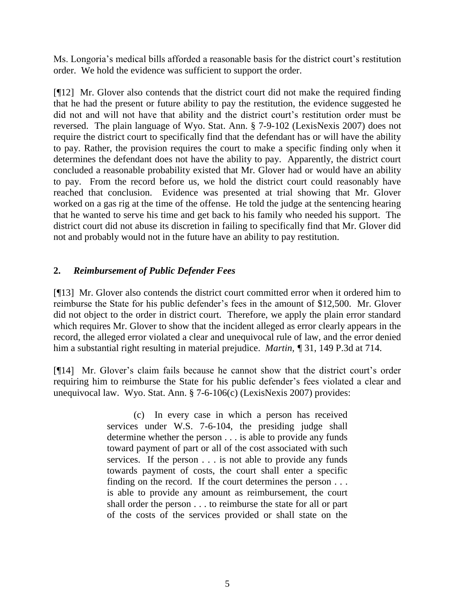Ms. Longoria's medical bills afforded a reasonable basis for the district court's restitution order. We hold the evidence was sufficient to support the order.

[¶12] Mr. Glover also contends that the district court did not make the required finding that he had the present or future ability to pay the restitution, the evidence suggested he did not and will not have that ability and the district court's restitution order must be reversed. The plain language of Wyo. Stat. Ann. § 7-9-102 (LexisNexis 2007) does not require the district court to specifically find that the defendant has or will have the ability to pay. Rather, the provision requires the court to make a specific finding only when it determines the defendant does not have the ability to pay. Apparently, the district court concluded a reasonable probability existed that Mr. Glover had or would have an ability to pay. From the record before us, we hold the district court could reasonably have reached that conclusion. Evidence was presented at trial showing that Mr. Glover worked on a gas rig at the time of the offense. He told the judge at the sentencing hearing that he wanted to serve his time and get back to his family who needed his support. The district court did not abuse its discretion in failing to specifically find that Mr. Glover did not and probably would not in the future have an ability to pay restitution.

# **2.** *Reimbursement of Public Defender Fees*

[¶13] Mr. Glover also contends the district court committed error when it ordered him to reimburse the State for his public defender's fees in the amount of \$12,500. Mr. Glover did not object to the order in district court. Therefore, we apply the plain error standard which requires Mr. Glover to show that the incident alleged as error clearly appears in the record, the alleged error violated a clear and unequivocal rule of law, and the error denied him a substantial right resulting in material prejudice. *Martin, ¶* 31, 149 P.3d at 714.

[¶14] Mr. Glover's claim fails because he cannot show that the district court's order requiring him to reimburse the State for his public defender's fees violated a clear and unequivocal law. Wyo. Stat. Ann. § 7-6-106(c) (LexisNexis 2007) provides:

> (c) In every case in which a person has received services under W.S. 7-6-104, the presiding judge shall determine whether the person . . . is able to provide any funds toward payment of part or all of the cost associated with such services. If the person . . . is not able to provide any funds towards payment of costs, the court shall enter a specific finding on the record. If the court determines the person . . . is able to provide any amount as reimbursement, the court shall order the person . . . to reimburse the state for all or part of the costs of the services provided or shall state on the